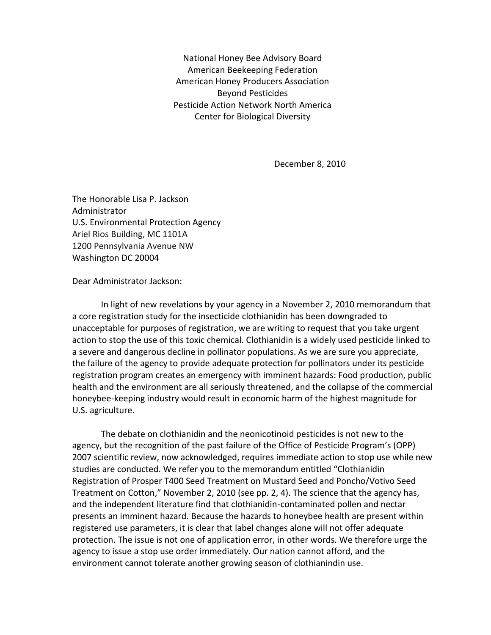National Honey Bee Advisory Board American Beekeeping Federation American Honey Producers Association Beyond Pesticides Pesticide Action Network North America Center for Biological Diversity

December 8, 2010

The Honorable Lisa P. Jackson Administrator U.S. Environmental Protection Agency Ariel Rios Building, MC 1101A 1200 Pennsylvania Avenue NW Washington DC 20004

Dear Administrator Jackson:

In light of new revelations by your agency in a November 2, 2010 memorandum that a core registration study for the insecticide clothianidin has been downgraded to unacceptable for purposes of registration, we are writing to request that you take urgent action to stop the use of this toxic chemical. Clothianidin is a widely used pesticide linked to a severe and dangerous decline in pollinator populations. As we are sure you appreciate, the failure of the agency to provide adequate protection for pollinators under its pesticide registration program creates an emergency with imminent hazards: Food production, public health and the environment are all seriously threatened, and the collapse of the commercial honeybee-keeping industry would result in economic harm of the highest magnitude for U.S. agriculture.

The debate on clothianidin and the neonicotinoid pesticides is not new to the agency, but the recognition of the past failure of the Office of Pesticide Program's (OPP) 2007 scientific review, now acknowledged, requires immediate action to stop use while new studies are conducted. We refer you to the memorandum entitled "Clothianidin Registration of Prosper T400 Seed Treatment on Mustard Seed and Poncho/Votivo Seed Treatment on Cotton," November 2, 2010 (see pp. 2, 4). The science that the agency has, and the independent literature find that clothianidin-contaminated pollen and nectar presents an imminent hazard. Because the hazards to honeybee health are present within registered use parameters, it is clear that label changes alone will not offer adequate protection. The issue is not one of application error, in other words. We therefore urge the agency to issue a stop use order immediately. Our nation cannot afford, and the environment cannot tolerate another growing season of clothianindin use.